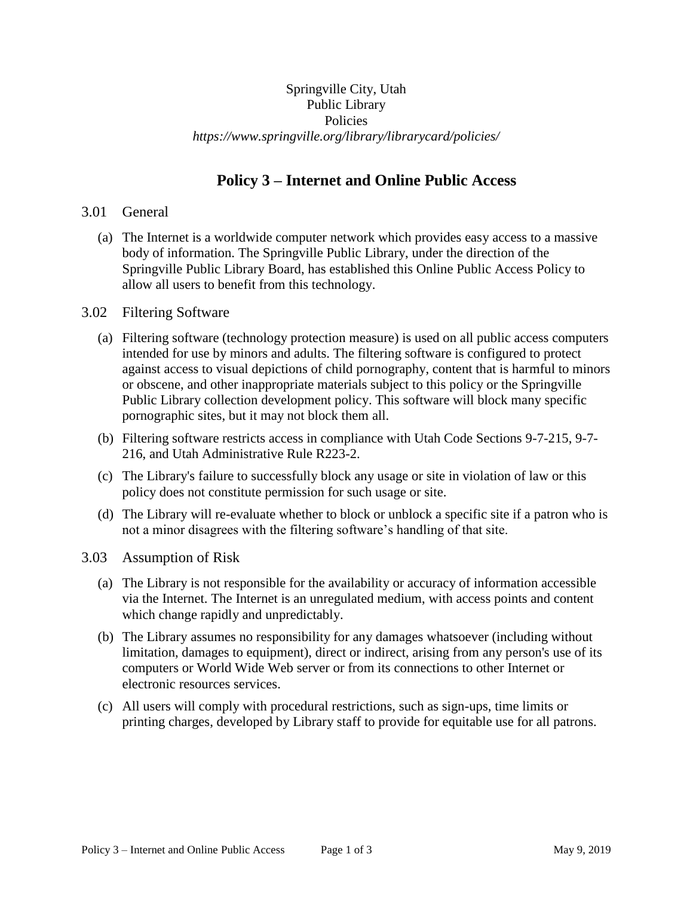# Springville City, Utah Public Library Policies *https://www.springville.org/library/librarycard/policies/*

# **Policy 3 – Internet and Online Public Access**

# 3.01 General

(a) The Internet is a worldwide computer network which provides easy access to a massive body of information. The Springville Public Library, under the direction of the Springville Public Library Board, has established this Online Public Access Policy to allow all users to benefit from this technology.

#### 3.02 Filtering Software

- (a) Filtering software (technology protection measure) is used on all public access computers intended for use by minors and adults. The filtering software is configured to protect against access to visual depictions of child pornography, content that is harmful to minors or obscene, and other inappropriate materials subject to this policy or the Springville Public Library collection development policy. This software will block many specific pornographic sites, but it may not block them all.
- (b) Filtering software restricts access in compliance with Utah Code Sections 9-7-215, 9-7- 216, and Utah Administrative Rule R223-2.
- (c) The Library's failure to successfully block any usage or site in violation of law or this policy does not constitute permission for such usage or site.
- (d) The Library will re-evaluate whether to block or unblock a specific site if a patron who is not a minor disagrees with the filtering software's handling of that site.
- 3.03 Assumption of Risk
	- (a) The Library is not responsible for the availability or accuracy of information accessible via the Internet. The Internet is an unregulated medium, with access points and content which change rapidly and unpredictably.
	- (b) The Library assumes no responsibility for any damages whatsoever (including without limitation, damages to equipment), direct or indirect, arising from any person's use of its computers or World Wide Web server or from its connections to other Internet or electronic resources services.
	- (c) All users will comply with procedural restrictions, such as sign-ups, time limits or printing charges, developed by Library staff to provide for equitable use for all patrons.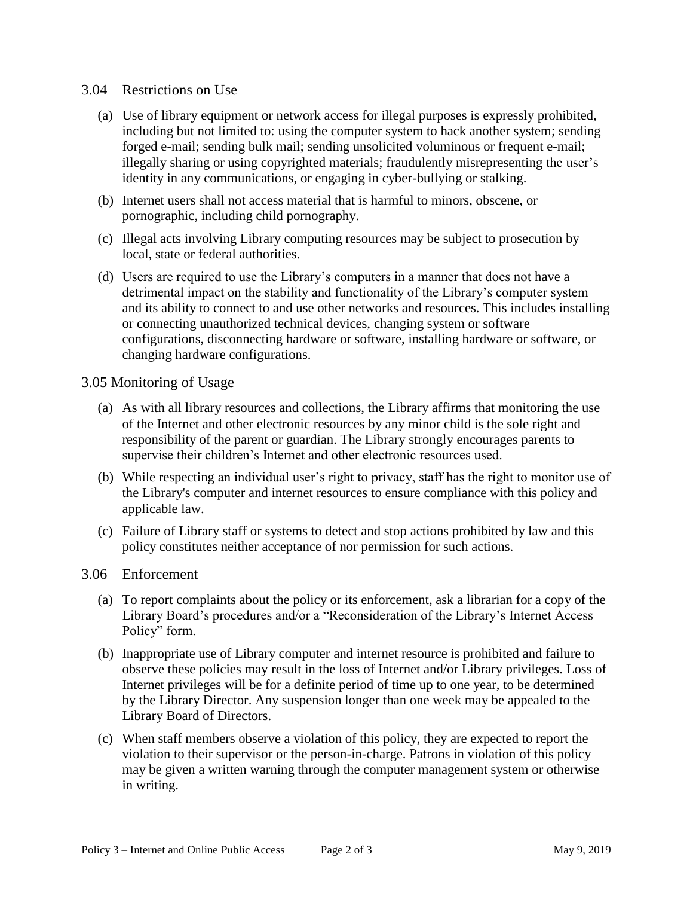## 3.04 Restrictions on Use

- (a) Use of library equipment or network access for illegal purposes is expressly prohibited, including but not limited to: using the computer system to hack another system; sending forged e-mail; sending bulk mail; sending unsolicited voluminous or frequent e-mail; illegally sharing or using copyrighted materials; fraudulently misrepresenting the user's identity in any communications, or engaging in cyber-bullying or stalking.
- (b) Internet users shall not access material that is harmful to minors, obscene, or pornographic, including child pornography.
- (c) Illegal acts involving Library computing resources may be subject to prosecution by local, state or federal authorities.
- (d) Users are required to use the Library's computers in a manner that does not have a detrimental impact on the stability and functionality of the Library's computer system and its ability to connect to and use other networks and resources. This includes installing or connecting unauthorized technical devices, changing system or software configurations, disconnecting hardware or software, installing hardware or software, or changing hardware configurations.

## 3.05 Monitoring of Usage

- (a) As with all library resources and collections, the Library affirms that monitoring the use of the Internet and other electronic resources by any minor child is the sole right and responsibility of the parent or guardian. The Library strongly encourages parents to supervise their children's Internet and other electronic resources used.
- (b) While respecting an individual user's right to privacy, staff has the right to monitor use of the Library's computer and internet resources to ensure compliance with this policy and applicable law.
- (c) Failure of Library staff or systems to detect and stop actions prohibited by law and this policy constitutes neither acceptance of nor permission for such actions.

#### 3.06 Enforcement

- (a) To report complaints about the policy or its enforcement, ask a librarian for a copy of the Library Board's procedures and/or a "Reconsideration of the Library's Internet Access Policy" form.
- (b) Inappropriate use of Library computer and internet resource is prohibited and failure to observe these policies may result in the loss of Internet and/or Library privileges. Loss of Internet privileges will be for a definite period of time up to one year, to be determined by the Library Director. Any suspension longer than one week may be appealed to the Library Board of Directors.
- (c) When staff members observe a violation of this policy, they are expected to report the violation to their supervisor or the person-in-charge. Patrons in violation of this policy may be given a written warning through the computer management system or otherwise in writing.